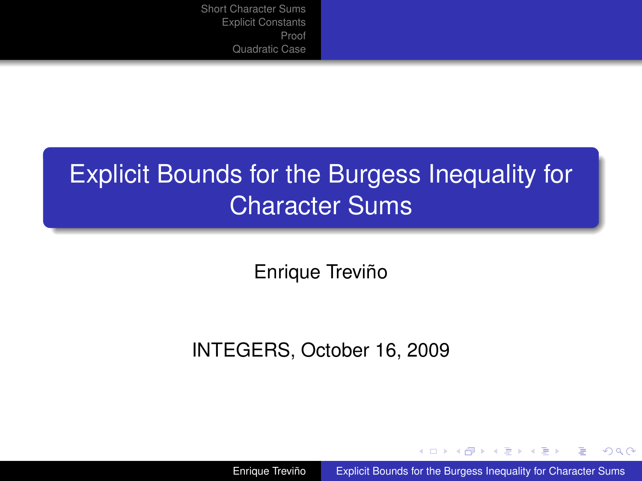# Explicit Bounds for the Burgess Inequality for Character Sums

Enrique Treviño

#### INTEGERS, October 16, 2009

Enrique Treviño [Explicit Bounds for the Burgess Inequality for Character Sums](#page-16-0)

イロトス 伊 トス ミトス ミ

 $2Q$ 

<span id="page-0-0"></span>€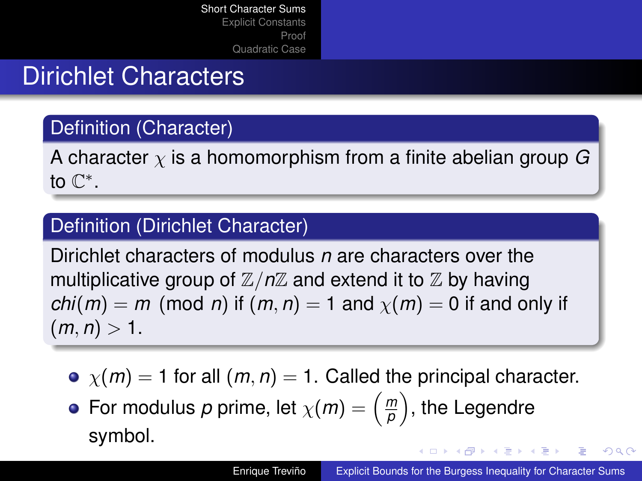## Dirichlet Characters

### Definition (Character)

A character χ is a homomorphism from a finite abelian group *G* to  $\mathbb{C}^*$ .

#### Definition (Dirichlet Character)

Dirichlet characters of modulus *n* are characters over the multiplicative group of  $\mathbb{Z}/n\mathbb{Z}$  and extend it to  $\mathbb Z$  by having *chi*(*m*) = *m* (mod *n*) if (*m*, *n*) = 1 and  $\chi$ (*m*) = 0 if and only if  $(m, n) > 1.$ 

- $\bullet$   $\chi(m) = 1$  for all  $(m, n) = 1$ . Called the principal character.
- For modulus  $p$  prime, let  $\chi(m) = \left(\frac{m}{p}\right)^m$  $\binom{m}{p}$ , the Legendre symbol. **K ロ ▶ K 何 ▶ K ヨ ▶ K ヨ ▶**

<span id="page-1-0"></span>÷.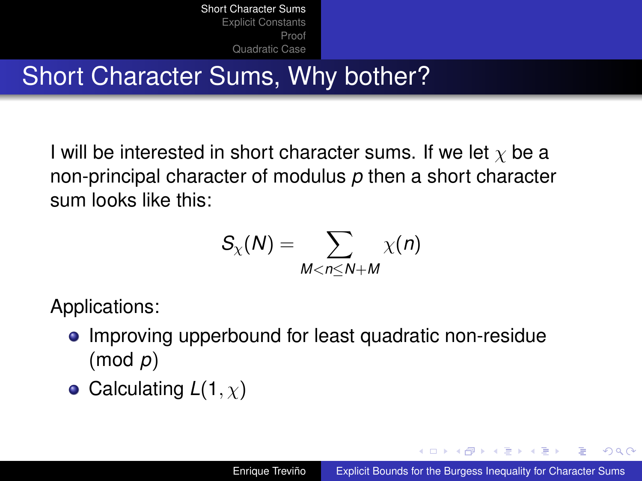# Short Character Sums, Why bother?

I will be interested in short character sums. If we let  $\chi$  be a non-principal character of modulus *p* then a short character sum looks like this:

$$
S_{\chi}(N)=\sum_{M
$$

Applications:

- Improving upperbound for least quadratic non-residue (mod *p*)
- Calculating  $L(1, \chi)$

 $\sqrt{m}$   $\rightarrow$   $\sqrt{m}$   $\rightarrow$   $\sqrt{m}$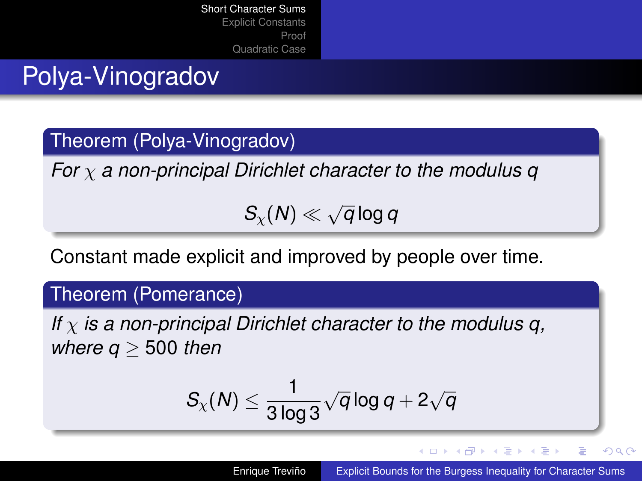# Polya-Vinogradov

### Theorem (Polya-Vinogradov)

*For* χ *a non-principal Dirichlet character to the modulus q*

 $S_\chi(N)\ll \sqrt{ }$ *q* log *q*

Constant made explicit and improved by people over time.

#### Theorem (Pomerance)

*If* χ *is a non-principal Dirichlet character to the modulus q, where q* ≥ 500 *then*

$$
\mathcal{S}_\chi(\mathcal{N}) \leq \frac{1}{3\log 3} \sqrt{q} \log q + 2\sqrt{q}
$$

イロメ イ押メ イヨメ イヨメー

÷.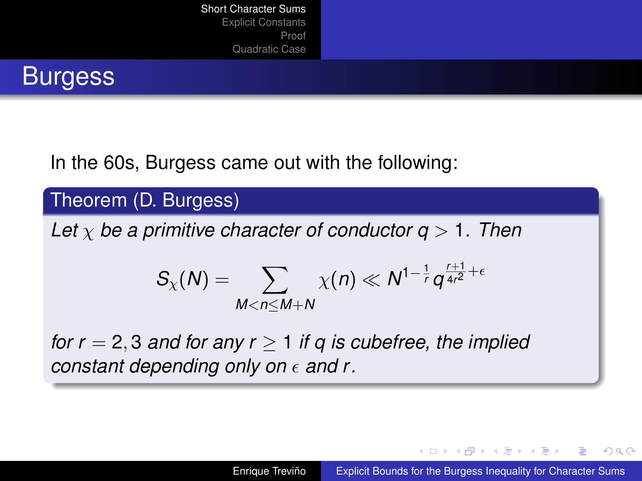

In the 60s, Burgess came out with the following:

#### Theorem (D. Burgess)

*Let* χ *be a primitive character of conductor q* > 1*. Then*

$$
S_{\chi}(N) = \sum_{M < n \le M+N} \chi(n) \ll N^{1-\frac{1}{r}} q^{\frac{r+1}{4r^2}+\epsilon}
$$

*for r* = 2, 3 *and for any r* ≥ 1 *if q is cubefree, the implied constant depending only on*  $\epsilon$  and r.

イロト イ押 トイヨ トイヨ トー

 $QQ$ э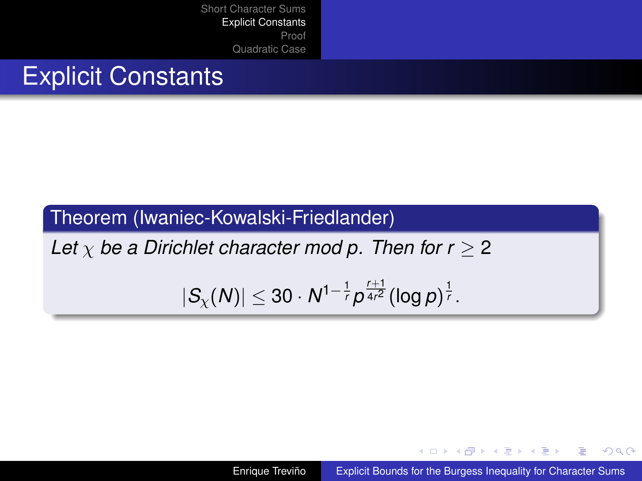## Explicit Constants

### Theorem (Iwaniec-Kowalski-Friedlander)

*Let*  $\chi$  *be a Dirichlet character mod p. Then for r*  $\geq$  2

$$
|S_{\chi}(N)| \leq 30 \cdot N^{1-\frac{1}{r}} p^{\frac{r+1}{4r^2}} (\log p)^{\frac{1}{r}}.
$$

Enrique Treviño [Explicit Bounds for the Burgess Inequality for Character Sums](#page-0-0)

 $4$  ロ }  $4$   $6$  }  $4$   $\pm$  }  $4$   $\pm$  }

 $2Q$ 

<span id="page-5-0"></span>э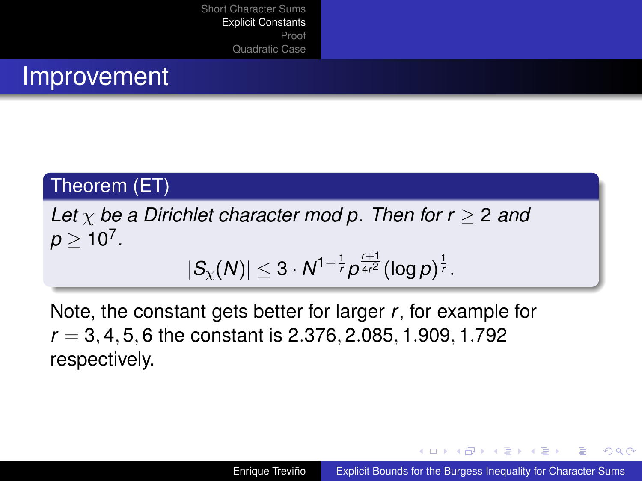### Improvement

#### Theorem (ET)

*Let* χ *be a Dirichlet character mod p. Then for r* ≥ 2 *and*  $p \geq 10^7$  .  $|S_{\chi}(N)| \leq 3 \cdot N^{1-\frac{1}{r}} p^{\frac{r+1}{4r^2}} (\log p)^{\frac{1}{r}}$ .

Note, the constant gets better for larger *r*, for example for *r* = 3, 4, 5, 6 the constant is 2.376, 2.085, 1.909, 1.792 respectively.

K ロ ⊁ K 伊 ⊁ K ヨ ⊁ K ヨ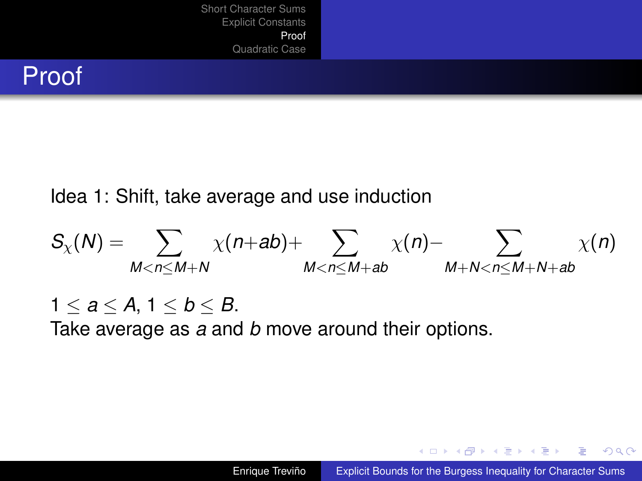## Proof

Idea 1: Shift, take average and use induction

$$
S_{\chi}(N) = \sum_{M < n \leq M+N} \chi(n+ab) + \sum_{M < n \leq M+ab} \chi(n) - \sum_{M+N < n \leq M+N+ab} \chi(n)
$$

1  $\leq a \leq A, 1 \leq b \leq B$ . Take average as *a* and *b* move around their options.

K ロ ⊁ K 何 ≯ K ヨ ⊁ K ヨ ⊁

<span id="page-7-0"></span> $2990$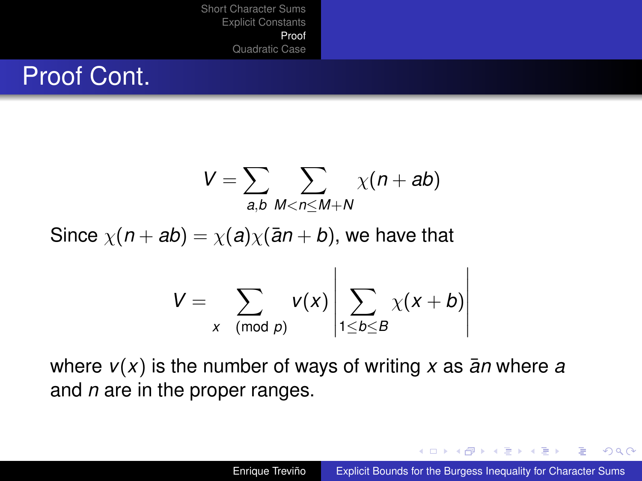## Proof Cont.

$$
V=\sum_{a,b}\sum_{M
$$

Since  $\chi(n+ab) = \chi(a)\chi(\overline{a}n+b)$ , we have that

$$
V = \sum_{x \pmod{p}} v(x) \left| \sum_{1 \leq b \leq B} \chi(x+b) \right|
$$

where  $v(x)$  is the number of ways of writing x as  $\overline{a}$ *n* where *a* and *n* are in the proper ranges.

4 何 8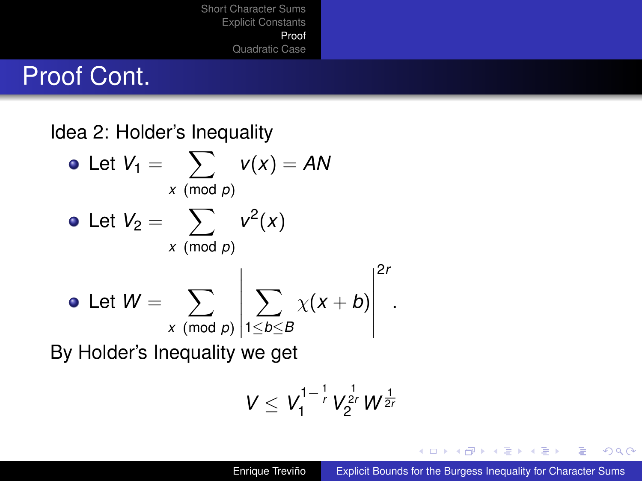## Proof Cont.

Idea 2: Holder's Inequality Let  $V_1 = \sum v(x) = AN$ *x* (mod *p*) Let  $V_2 = \sum v^2(x)$ *x* (mod *p*) Let  $W = \sum$ *x* (mod *p*)  $\sum$ 1≤*b*≤*B*  $\chi$ ( $x + b$ ) 2*r*

By Holder's Inequality we get

$$
V \leq V_1^{1-\frac{1}{r}} V_2^{\frac{1}{2r}} W^{\frac{1}{2r}}
$$

K 何 ▶ K ヨ ▶ K ヨ

 $2Q$ 

.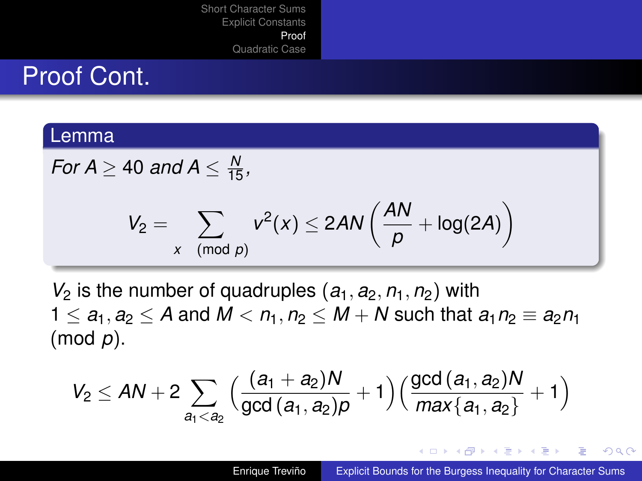## Proof Cont.

#### Lemma

For 
$$
A \ge 40
$$
 and  $A \le \frac{N}{15}$ ,

$$
V_2 = \sum_{x \pmod{p}} v^2(x) \le 2AN\left(\frac{AN}{p} + \log(2A)\right)
$$

 $V_2$  is the number of quadruples  $(a_1, a_2, n_1, n_2)$  with  $1 \le a_1, a_2 \le A$  and  $M < n_1, n_2 \le M + N$  such that  $a_1 n_2 \equiv a_2 n_1$ (mod *p*).

$$
V_2 \leq AN + 2\sum_{a_1 < a_2} \Big( \frac{(a_1 + a_2)N}{\text{gcd}\, (a_1, a_2) \rho} + 1 \Big) \Big( \frac{\text{gcd}\, (a_1, a_2)N}{\text{max}\{a_1, a_2\}} + 1 \Big)
$$

イロト イ押 トイヨ トイヨト

ミー  $QQ$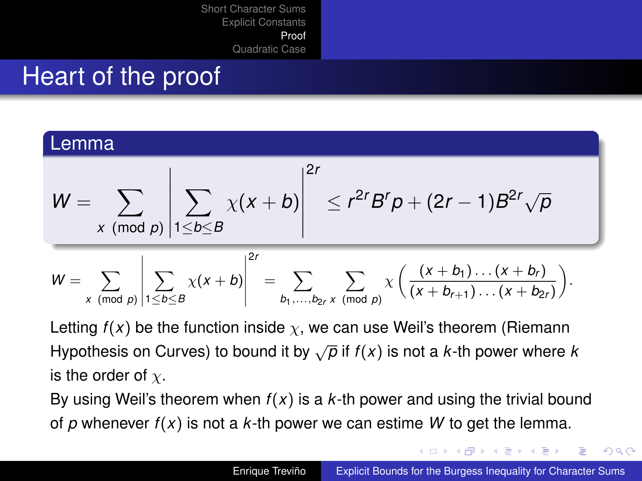## Heart of the proof

#### Lemma

$$
W = \sum_{x \pmod{p}} \left| \sum_{1 \leq b \leq B} \chi(x+b) \right|^{2r} \leq r^{2r} B^r p + (2r-1) B^{2r} \sqrt{p}
$$

$$
W = \sum_{x \pmod{p}} \left| \sum_{1 \leq b \leq B} \chi(x+b) \right|^{2r} = \sum_{b_1, ..., b_{2r}} \sum_{x \pmod{p}} \chi \left( \frac{(x+b_1)...(x+b_r)}{(x+b_{r+1})...(x+b_{2r})} \right).
$$

Letting  $f(x)$  be the function inside  $\chi$ , we can use Weil's theorem (Riemann Hypothesis on Curves) to bound it by  $\sqrt{\rho}$  if  $f(x)$  is not a *k*-th power where *k* is the order of  $\chi$ .

By using Weil's theorem when  $f(x)$  is a  $k$ -th power and using the trivial bound of *p* whenever *f*(*x*) is not a *k*-th power we can estime *W* to get the lemma.

 $\left\{ \begin{array}{ccc} 1 & 0 & 0 \\ 0 & 1 & 0 \end{array} \right.$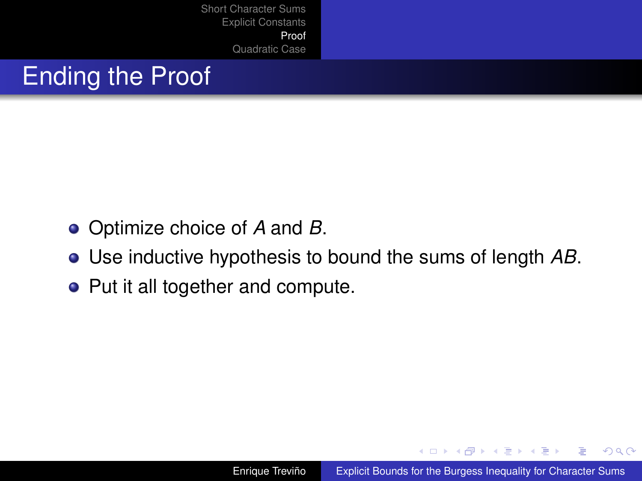# Ending the Proof

- Optimize choice of *A* and *B*.
- Use inductive hypothesis to bound the sums of length *AB*.
- Put it all together and compute.

K ロ ⊁ K 伊 ⊁ K ヨ ⊁ K ヨ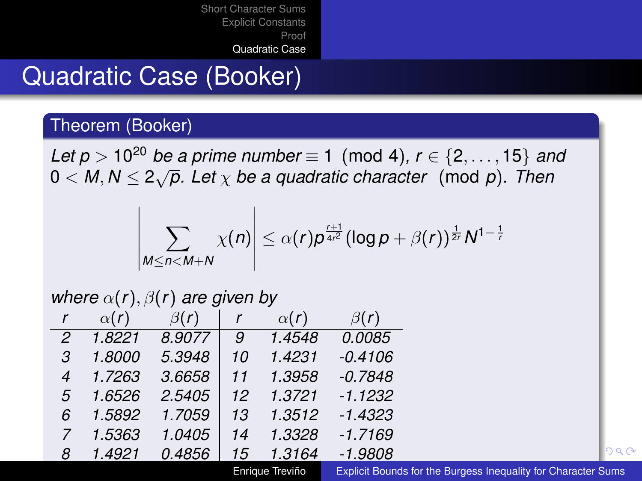## Quadratic Case (Booker)

#### Theorem (Booker)

*Let p* >  $10^{20}$  *be a prime number*  $\equiv$  1 (mod 4),  $r \in \{2, ..., 15\}$  *and*  $0 < M, N \leq 2\sqrt{p}$ . Let  $\chi$  be a quadratic character (mod p). Then

$$
\left|\sum_{M\leq n< M+N}\chi(n)\right|\leq \alpha(r)p^{\frac{r+1}{4r^2}}(\log p+\beta(r))^{\frac{1}{2r}}N^{1-\frac{1}{r}}
$$

#### *where*  $\alpha(r)$ ,  $\beta(r)$  *are given by*

| r  | $\alpha(r)$ | $\beta(r)$ | r  | $\alpha(r)$ | $\beta(r)$    |
|----|-------------|------------|----|-------------|---------------|
| 2  | 1.8221      | 8.9077     | 9  | 1.4548      | <i>0.0085</i> |
| 3. | 1.8000      | 5.3948     | 10 | 1.4231      | $-0.4106$     |
| 4  | 1.7263      | 3.6658     | 11 | 1.3958      | $-0.7848$     |
| 5  | 1.6526      | 2.5405     | 12 | 1.3721      | $-1.1232$     |
| ĥ  | 1.5892      | 1.7059     | 13 | 1.3512      | $-1.4323$     |
| 7  | 1.5363      | 1.0405     | 14 | 1.3328      | $-1.7169$     |
| 8  | 1.4921      | 0.4856     | 15 | 1.3164      | $-1.9808$     |

Enrique Treviño [Explicit Bounds for the Burgess Inequality for Character Sums](#page-0-0)

<span id="page-13-0"></span> $090$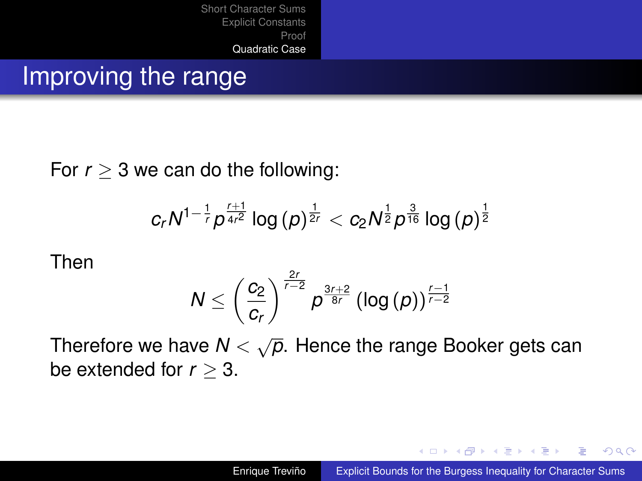### Improving the range

For  $r > 3$  we can do the following:

$$
c_r N^{1-\frac{1}{r}} \rho^{\frac{r+1}{4r^2}} \log \, (p)^{\frac{1}{2r}} < c_2 N^{\frac{1}{2}} \rho^{\frac{3}{16}} \log \, (p)^{\frac{1}{2}}
$$

Then

$$
N \leq \left(\frac{c_2}{c_r}\right)^{\frac{2r}{r-2}} p^{\frac{3r+2}{8r}} \left(\log\left(p\right)\right)^{\frac{r-1}{r-2}}
$$

Therefore we have  $N < \sqrt{\rho}$ . Hence the range Booker gets can be extended for *r* ≥ 3.

 $\left\{ \begin{array}{ccc} 1 & 0 & 0 \\ 0 & 1 & 0 \end{array} \right.$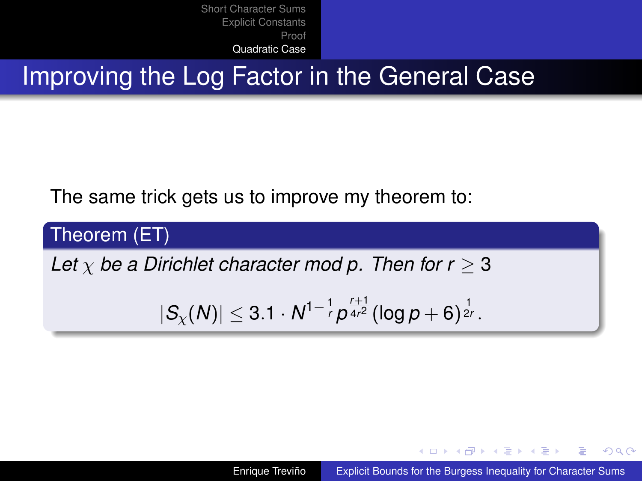**Improving the Log Factor in the General Case** 

The same trick gets us to improve my theorem to:

Theorem (ET)

*Let*  $\chi$  *be a Dirichlet character mod p. Then for r*  $\geq$  3

$$
|S_{\chi}(N)| \leq 3.1 \cdot N^{1-\frac{1}{r}} p^{\frac{r+1}{4r^2}} (\log p + 6)^{\frac{1}{2r}}.
$$

Enrique Treviño [Explicit Bounds for the Burgess Inequality for Character Sums](#page-0-0)

K ロ ⊁ K 何 ≯ K ヨ ⊁ K ヨ ⊁

 $QQ$